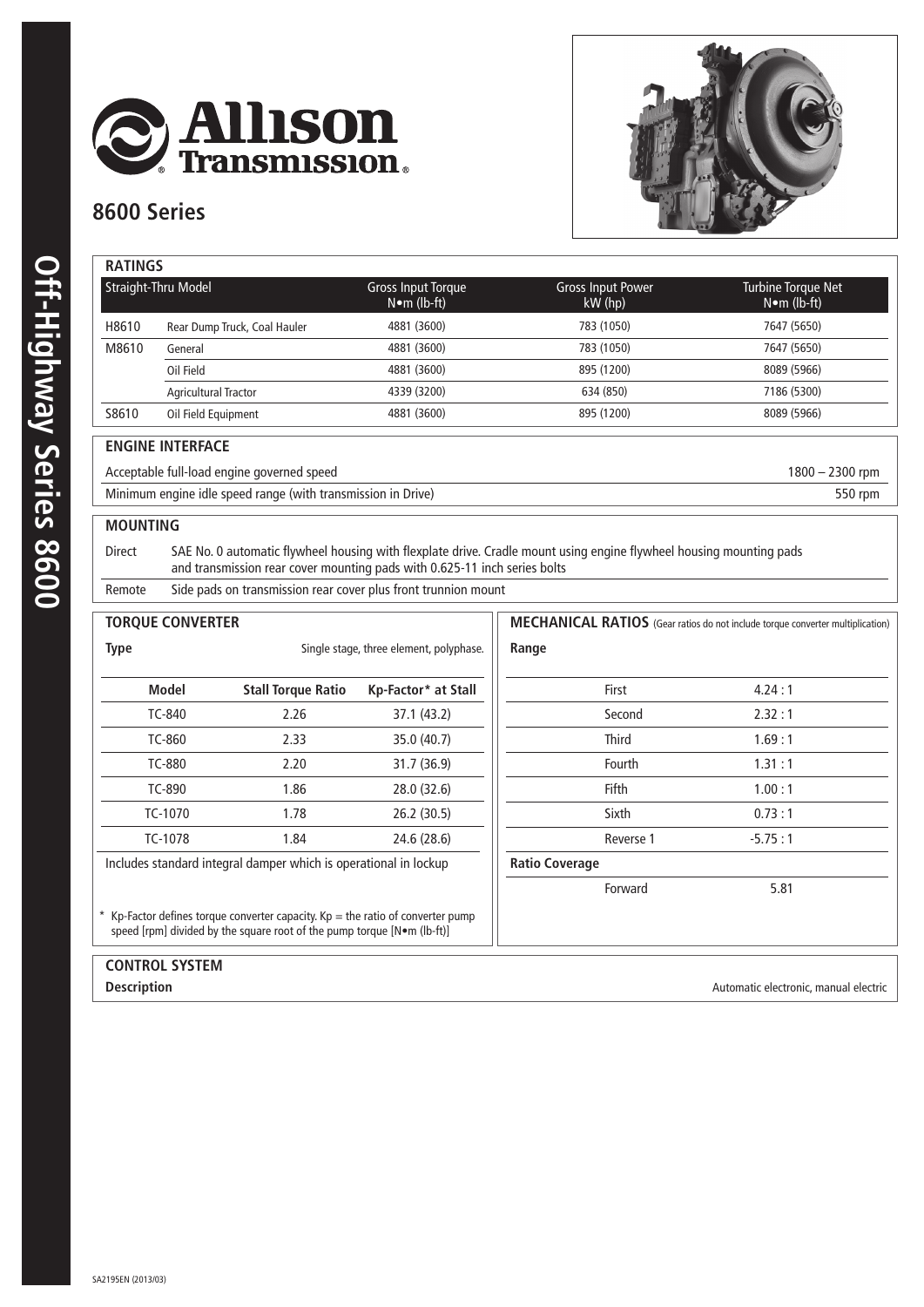

### **8600 Series**



| Straight-Thru Model |                              | Gross Input Torque<br>$N \cdot m$ (lb-ft) | <b>Gross Input Power</b><br>$kW$ (hp) | Turbine Torque Net<br>$N \cdot m$ (lb-ft) |
|---------------------|------------------------------|-------------------------------------------|---------------------------------------|-------------------------------------------|
| H8610               | Rear Dump Truck, Coal Hauler | 4881 (3600)                               | 783 (1050)                            | 7647 (5650)                               |
| M8610               | General                      | 4881 (3600)                               | 783 (1050)                            | 7647 (5650)                               |
|                     | Oil Field                    | 4881 (3600)                               | 895 (1200)                            | 8089 (5966)                               |
|                     | <b>Agricultural Tractor</b>  | 4339 (3200)                               | 634 (850)                             | 7186 (5300)                               |
| S8610               | Oil Field Equipment          | 4881 (3600)                               | 895 (1200)                            | 8089 (5966)                               |

#### **ENGINE INTERFACE**

Acceptable full-load engine governed speed 1800 – 2300 rpm Minimum engine idle speed range (with transmission in Drive) 550 rpm

#### **MOUNTING**

Direct SAE No. 0 automatic flywheel housing with flexplate drive. Cradle mount using engine flywheel housing mounting pads and transmission rear cover mounting pads with 0.625-11 inch series bolts

Remote Side pads on transmission rear cover plus front trunnion mount

| <b>TORQUE CONVERTER</b>                                                                                                                                      |                                                                  |                     | MECHANICAL RATIOS (Gear ratios do not include torque converter multiplication) |           |  |  |
|--------------------------------------------------------------------------------------------------------------------------------------------------------------|------------------------------------------------------------------|---------------------|--------------------------------------------------------------------------------|-----------|--|--|
| <b>Type</b>                                                                                                                                                  | Single stage, three element, polyphase.                          |                     | Range                                                                          |           |  |  |
| <b>Model</b>                                                                                                                                                 | <b>Stall Torque Ratio</b>                                        | Kp-Factor* at Stall | First                                                                          | 4.24:1    |  |  |
| TC-840                                                                                                                                                       | 2.26                                                             | 37.1 (43.2)         | Second                                                                         | 2.32:1    |  |  |
| TC-860                                                                                                                                                       | 2.33                                                             | 35.0 (40.7)         | <b>Third</b>                                                                   | 1.69:1    |  |  |
| TC-880                                                                                                                                                       | 2.20                                                             | 31.7 (36.9)         | Fourth                                                                         | 1.31:1    |  |  |
| TC-890                                                                                                                                                       | 1.86                                                             | 28.0 (32.6)         | Fifth                                                                          | 1.00:1    |  |  |
| TC-1070                                                                                                                                                      | 1.78                                                             | 26.2(30.5)          | Sixth                                                                          | 0.73:1    |  |  |
| TC-1078                                                                                                                                                      | 1.84                                                             | 24.6 (28.6)         | Reverse 1                                                                      | $-5.75:1$ |  |  |
|                                                                                                                                                              | Includes standard integral damper which is operational in lockup |                     | <b>Ratio Coverage</b>                                                          |           |  |  |
|                                                                                                                                                              |                                                                  |                     | Forward                                                                        | 5.81      |  |  |
| * Kp-Factor defines torque converter capacity. $Kp =$ the ratio of converter pump<br>speed [rpm] divided by the square root of the pump torque [N•m (lb-ft)] |                                                                  |                     |                                                                                |           |  |  |

# **control system**

**Description**<br> **Description**<br> **Automatic electronic, manual electric**